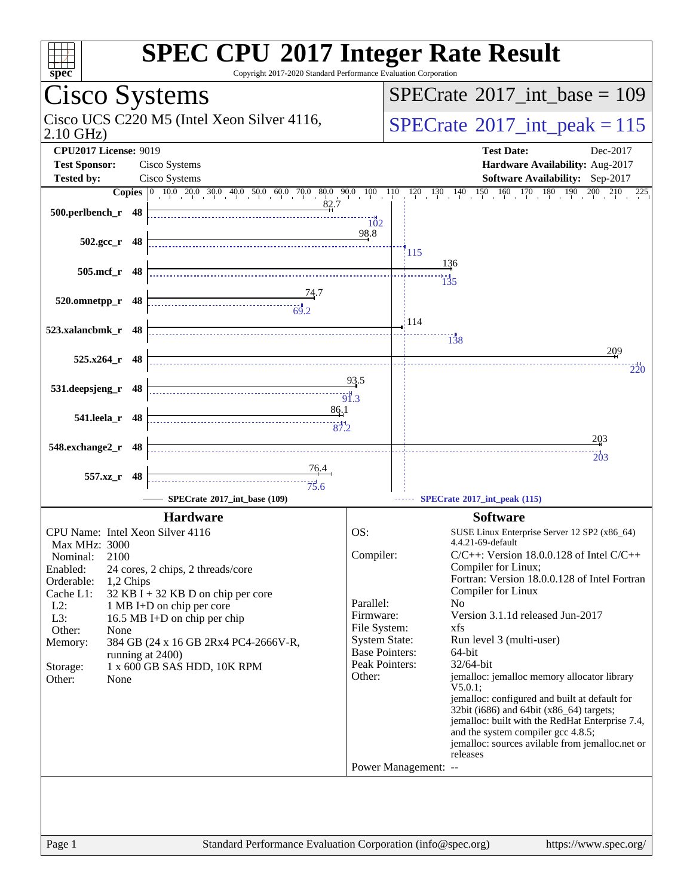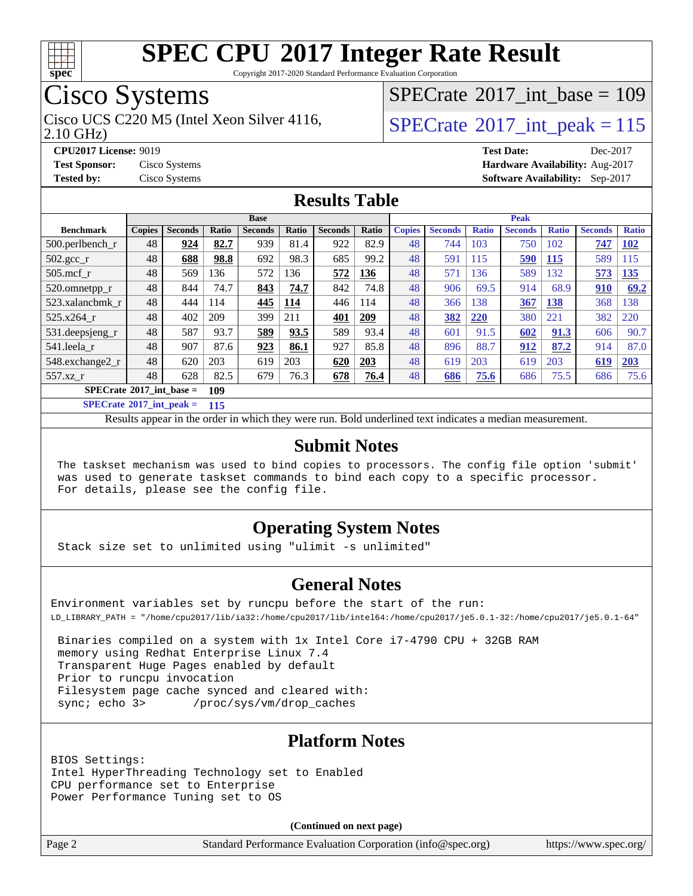![](_page_1_Picture_0.jpeg)

Copyright 2017-2020 Standard Performance Evaluation Corporation

### Cisco Systems

Cisco UCS C220 M5 (Intel Xeon Silver 4116,  $\vert$ [SPECrate](http://www.spec.org/auto/cpu2017/Docs/result-fields.html#SPECrate2017intpeak)®[2017\\_int\\_peak = 1](http://www.spec.org/auto/cpu2017/Docs/result-fields.html#SPECrate2017intpeak)15

 $SPECTate@2017_int\_base = 109$ 

2.10 GHz)

**[CPU2017 License:](http://www.spec.org/auto/cpu2017/Docs/result-fields.html#CPU2017License)** 9019 **[Test Date:](http://www.spec.org/auto/cpu2017/Docs/result-fields.html#TestDate)** Dec-2017 **[Test Sponsor:](http://www.spec.org/auto/cpu2017/Docs/result-fields.html#TestSponsor)** Cisco Systems **[Hardware Availability:](http://www.spec.org/auto/cpu2017/Docs/result-fields.html#HardwareAvailability)** Aug-2017 **[Tested by:](http://www.spec.org/auto/cpu2017/Docs/result-fields.html#Testedby)** Cisco Systems **[Software Availability:](http://www.spec.org/auto/cpu2017/Docs/result-fields.html#SoftwareAvailability)** Sep-2017

#### **[Results Table](http://www.spec.org/auto/cpu2017/Docs/result-fields.html#ResultsTable)**

|                                   | <b>Base</b>   |                |       |                |              |                |              |               | <b>Peak</b>    |              |                |              |                |              |  |
|-----------------------------------|---------------|----------------|-------|----------------|--------------|----------------|--------------|---------------|----------------|--------------|----------------|--------------|----------------|--------------|--|
| <b>Benchmark</b>                  | <b>Copies</b> | <b>Seconds</b> | Ratio | <b>Seconds</b> | <b>Ratio</b> | <b>Seconds</b> | <b>Ratio</b> | <b>Copies</b> | <b>Seconds</b> | <b>Ratio</b> | <b>Seconds</b> | <b>Ratio</b> | <b>Seconds</b> | <b>Ratio</b> |  |
| $500$ .perlbench r                | 48            | 924            | 82.7  | 939            | 81.4         | 922            | 82.9         | 48            | 744            | 103          | 750            | 102          | 747            | <u>102</u>   |  |
| $502.\text{gcc}$                  | 48            | 688            | 98.8  | 692            | 98.3         | 685            | 99.2         | 48            | 591            | 115          | 590            | 115          | 589            | 115          |  |
| $505$ .mcf r                      | 48            | 569            | 136   | 572            | 136          | 572            | 136          | 48            | 571            | 136          | 589            | 132          | 573            | <u> 135</u>  |  |
| 520.omnetpp_r                     | 48            | 844            | 74.7  | 843            | 74.7         | 842            | 74.8         | 48            | 906            | 69.5         | 914            | 68.9         | 910            | 69.2         |  |
| 523.xalancbmk r                   | 48            | 444            | 114   | 445            | 114          | 446            | 114          | 48            | 366            | 138          | 367            | 138          | 368            | 138          |  |
| 525.x264 r                        | 48            | 402            | 209   | 399            | 211          | 401            | 209          | 48            | 382            | 220          | 380            | 221          | 382            | 220          |  |
| 531.deepsjeng_r                   | 48            | 587            | 93.7  | 589            | 93.5         | 589            | 93.4         | 48            | 601            | 91.5         | 602            | 91.3         | 606            | 90.7         |  |
| 541.leela r                       | 48            | 907            | 87.6  | 923            | 86.1         | 927            | 85.8         | 48            | 896            | 88.7         | 912            | 87.2         | 914            | 87.0         |  |
| 548.exchange2_r                   | 48            | 620            | 203   | 619            | 203          | 620            | 203          | 48            | 619            | 203          | 619            | 203          | 619            | 203          |  |
| 557.xz r                          | 48            | 628            | 82.5  | 679            | 76.3         | 678            | 76.4         | 48            | <u>686</u>     | 75.6         | 686            | 75.5         | 686            | 75.6         |  |
| $SPECrate^{\circ}2017$ int base = | 109           |                |       |                |              |                |              |               |                |              |                |              |                |              |  |

**[SPECrate](http://www.spec.org/auto/cpu2017/Docs/result-fields.html#SPECrate2017intpeak)[2017\\_int\\_peak =](http://www.spec.org/auto/cpu2017/Docs/result-fields.html#SPECrate2017intpeak) 115**

Results appear in the [order in which they were run.](http://www.spec.org/auto/cpu2017/Docs/result-fields.html#RunOrder) Bold underlined text [indicates a median measurement.](http://www.spec.org/auto/cpu2017/Docs/result-fields.html#Median)

#### **[Submit Notes](http://www.spec.org/auto/cpu2017/Docs/result-fields.html#SubmitNotes)**

 The taskset mechanism was used to bind copies to processors. The config file option 'submit' was used to generate taskset commands to bind each copy to a specific processor. For details, please see the config file.

#### **[Operating System Notes](http://www.spec.org/auto/cpu2017/Docs/result-fields.html#OperatingSystemNotes)**

Stack size set to unlimited using "ulimit -s unlimited"

#### **[General Notes](http://www.spec.org/auto/cpu2017/Docs/result-fields.html#GeneralNotes)**

Environment variables set by runcpu before the start of the run: LD\_LIBRARY\_PATH = "/home/cpu2017/lib/ia32:/home/cpu2017/lib/intel64:/home/cpu2017/je5.0.1-32:/home/cpu2017/je5.0.1-64"

 Binaries compiled on a system with 1x Intel Core i7-4790 CPU + 32GB RAM memory using Redhat Enterprise Linux 7.4 Transparent Huge Pages enabled by default Prior to runcpu invocation Filesystem page cache synced and cleared with: sync; echo 3> /proc/sys/vm/drop\_caches

#### **[Platform Notes](http://www.spec.org/auto/cpu2017/Docs/result-fields.html#PlatformNotes)**

BIOS Settings: Intel HyperThreading Technology set to Enabled CPU performance set to Enterprise Power Performance Tuning set to OS

**(Continued on next page)**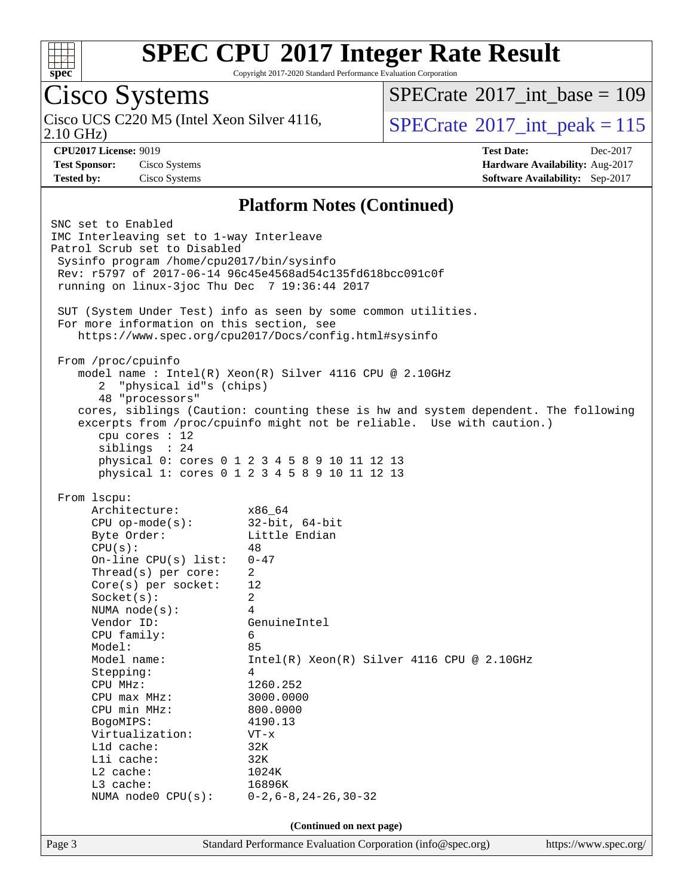![](_page_2_Picture_0.jpeg)

Copyright 2017-2020 Standard Performance Evaluation Corporation

#### Cisco Systems 2.10 GHz) Cisco UCS C220 M5 (Intel Xeon Silver 4116,  $\text{SPECrate}^{\otimes}2017\_int\_peak = 115$  $\text{SPECrate}^{\otimes}2017\_int\_peak = 115$  $\text{SPECrate}^{\otimes}2017\_int\_peak = 115$  $SPECTate$ <sup>®</sup>[2017\\_int\\_base =](http://www.spec.org/auto/cpu2017/Docs/result-fields.html#SPECrate2017intbase) 109 **[CPU2017 License:](http://www.spec.org/auto/cpu2017/Docs/result-fields.html#CPU2017License)** 9019 **[Test Date:](http://www.spec.org/auto/cpu2017/Docs/result-fields.html#TestDate)** Dec-2017 **[Test Sponsor:](http://www.spec.org/auto/cpu2017/Docs/result-fields.html#TestSponsor)** Cisco Systems **[Hardware Availability:](http://www.spec.org/auto/cpu2017/Docs/result-fields.html#HardwareAvailability)** Aug-2017 **[Tested by:](http://www.spec.org/auto/cpu2017/Docs/result-fields.html#Testedby)** Cisco Systems **[Software Availability:](http://www.spec.org/auto/cpu2017/Docs/result-fields.html#SoftwareAvailability)** Sep-2017 **[Platform Notes \(Continued\)](http://www.spec.org/auto/cpu2017/Docs/result-fields.html#PlatformNotes)** SNC set to Enabled IMC Interleaving set to 1-way Interleave Patrol Scrub set to Disabled Sysinfo program /home/cpu2017/bin/sysinfo Rev: r5797 of 2017-06-14 96c45e4568ad54c135fd618bcc091c0f running on linux-3joc Thu Dec 7 19:36:44 2017 SUT (System Under Test) info as seen by some common utilities. For more information on this section, see <https://www.spec.org/cpu2017/Docs/config.html#sysinfo> From /proc/cpuinfo model name : Intel(R) Xeon(R) Silver 4116 CPU @ 2.10GHz 2 "physical id"s (chips) 48 "processors" cores, siblings (Caution: counting these is hw and system dependent. The following excerpts from /proc/cpuinfo might not be reliable. Use with caution.) cpu cores : 12 siblings : 24 physical 0: cores 0 1 2 3 4 5 8 9 10 11 12 13 physical 1: cores 0 1 2 3 4 5 8 9 10 11 12 13 From lscpu: Architecture: x86\_64 CPU op-mode(s): 32-bit, 64-bit Byte Order: Little Endian  $CPU(s):$  48 On-line CPU(s) list: 0-47 Thread(s) per core: 2 Core(s) per socket: 12 Socket(s): 2 NUMA node(s): 4 Vendor ID: GenuineIntel CPU family: 6 Model: 85 Model name: Intel(R) Xeon(R) Silver 4116 CPU @ 2.10GHz Stepping: 4 CPU MHz: 1260.252 CPU max MHz: 3000.0000 CPU min MHz: 800.0000 BogoMIPS: 4190.13 Virtualization: VT-x L1d cache: 32K L1i cache: 32K L2 cache: 1024K L3 cache: 16896K NUMA node0 CPU(s): 0-2,6-8,24-26,30-32 **(Continued on next page)**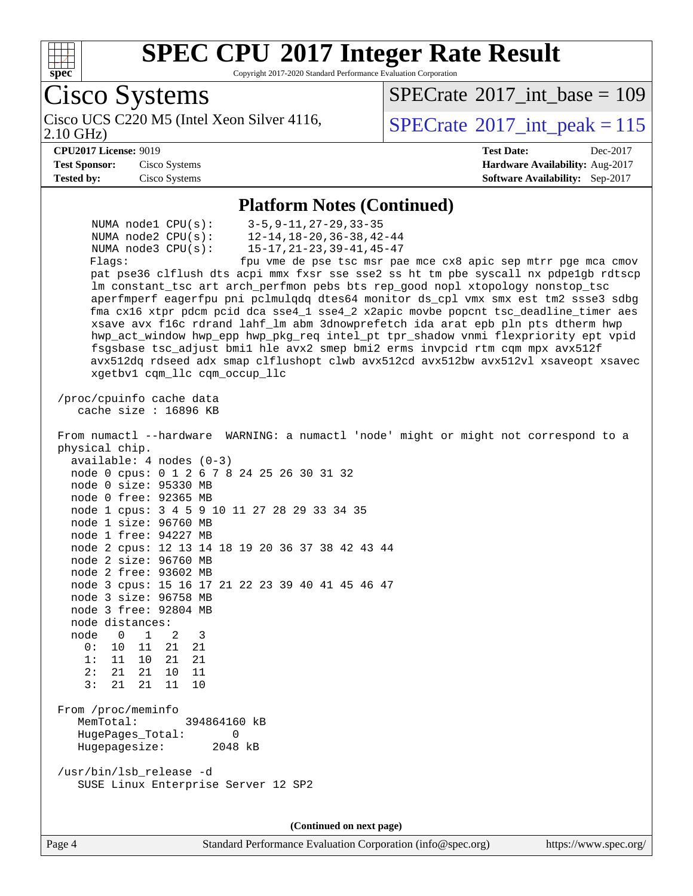![](_page_3_Picture_0.jpeg)

Copyright 2017-2020 Standard Performance Evaluation Corporation

Cisco Systems 2.10 GHz) Cisco UCS C220 M5 (Intel Xeon Silver 4116,  $\text{SPECrate}^{\otimes}2017\_int\_peak = 115$  $\text{SPECrate}^{\otimes}2017\_int\_peak = 115$  $\text{SPECrate}^{\otimes}2017\_int\_peak = 115$  $SPECTate$ <sup>®</sup>[2017\\_int\\_base =](http://www.spec.org/auto/cpu2017/Docs/result-fields.html#SPECrate2017intbase) 109 **[CPU2017 License:](http://www.spec.org/auto/cpu2017/Docs/result-fields.html#CPU2017License)** 9019 **[Test Date:](http://www.spec.org/auto/cpu2017/Docs/result-fields.html#TestDate)** Dec-2017 **[Test Sponsor:](http://www.spec.org/auto/cpu2017/Docs/result-fields.html#TestSponsor)** Cisco Systems **[Hardware Availability:](http://www.spec.org/auto/cpu2017/Docs/result-fields.html#HardwareAvailability)** Aug-2017 **[Tested by:](http://www.spec.org/auto/cpu2017/Docs/result-fields.html#Testedby)** Cisco Systems **[Software Availability:](http://www.spec.org/auto/cpu2017/Docs/result-fields.html#SoftwareAvailability)** Sep-2017 **[Platform Notes \(Continued\)](http://www.spec.org/auto/cpu2017/Docs/result-fields.html#PlatformNotes)** NUMA node1 CPU(s): 3-5,9-11,27-29,33-35 NUMA node2 CPU(s): 12-14,18-20,36-38,42-44 NUMA node3 CPU(s): 15-17,21-23,39-41,45-47 Flags: fpu vme de pse tsc msr pae mce cx8 apic sep mtrr pge mca cmov pat pse36 clflush dts acpi mmx fxsr sse sse2 ss ht tm pbe syscall nx pdpe1gb rdtscp lm constant\_tsc art arch\_perfmon pebs bts rep\_good nopl xtopology nonstop\_tsc aperfmperf eagerfpu pni pclmulqdq dtes64 monitor ds\_cpl vmx smx est tm2 ssse3 sdbg fma cx16 xtpr pdcm pcid dca sse4\_1 sse4\_2 x2apic movbe popcnt tsc\_deadline\_timer aes xsave avx f16c rdrand lahf\_lm abm 3dnowprefetch ida arat epb pln pts dtherm hwp hwp\_act\_window hwp\_epp hwp\_pkg\_req intel\_pt tpr\_shadow vnmi flexpriority ept vpid fsgsbase tsc\_adjust bmi1 hle avx2 smep bmi2 erms invpcid rtm cqm mpx avx512f avx512dq rdseed adx smap clflushopt clwb avx512cd avx512bw avx512vl xsaveopt xsavec xgetbv1 cqm\_llc cqm\_occup\_llc /proc/cpuinfo cache data cache size : 16896 KB From numactl --hardware WARNING: a numactl 'node' might or might not correspond to a physical chip. available: 4 nodes (0-3) node 0 cpus: 0 1 2 6 7 8 24 25 26 30 31 32 node 0 size: 95330 MB node 0 free: 92365 MB node 1 cpus: 3 4 5 9 10 11 27 28 29 33 34 35 node 1 size: 96760 MB node 1 free: 94227 MB node 2 cpus: 12 13 14 18 19 20 36 37 38 42 43 44 node 2 size: 96760 MB node 2 free: 93602 MB node 3 cpus: 15 16 17 21 22 23 39 40 41 45 46 47 node 3 size: 96758 MB node 3 free: 92804 MB node distances: node 0 1 2 3 0: 10 11 21 21 1: 11 10 21 21 2: 21 21 10 11 3: 21 21 11 10 From /proc/meminfo MemTotal: 394864160 kB HugePages\_Total: 0 Hugepagesize: 2048 kB /usr/bin/lsb\_release -d SUSE Linux Enterprise Server 12 SP2

**(Continued on next page)**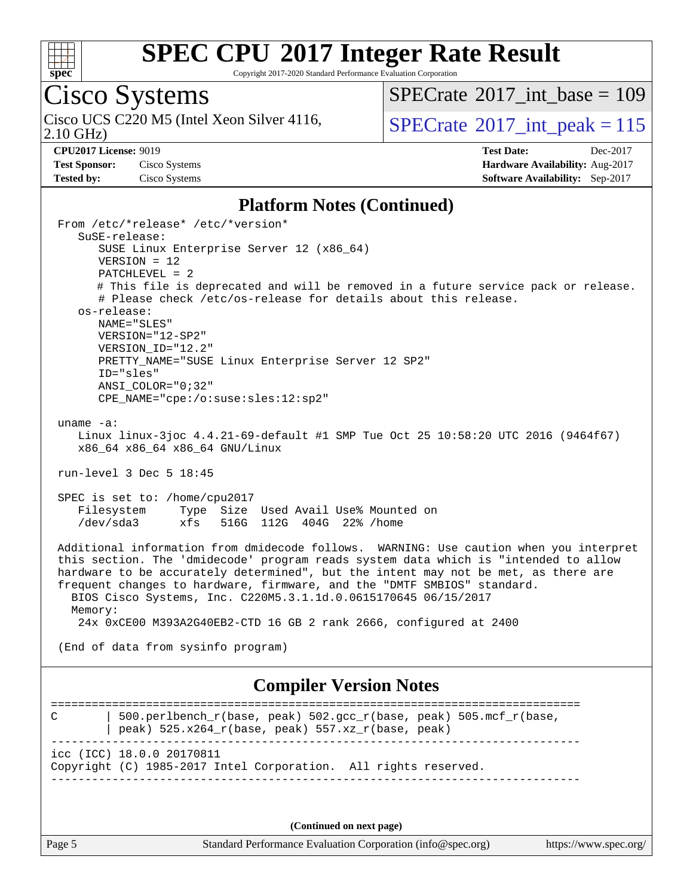![](_page_4_Picture_0.jpeg)

Copyright 2017-2020 Standard Performance Evaluation Corporation

## Cisco Systems

2.10 GHz) Cisco UCS C220 M5 (Intel Xeon Silver 4116,  $\text{SPECrate}^{\otimes}2017\_int\_peak = 115$  $\text{SPECrate}^{\otimes}2017\_int\_peak = 115$  $\text{SPECrate}^{\otimes}2017\_int\_peak = 115$ 

 $SPECrate$ <sup>®</sup>[2017\\_int\\_base =](http://www.spec.org/auto/cpu2017/Docs/result-fields.html#SPECrate2017intbase) 109

**[CPU2017 License:](http://www.spec.org/auto/cpu2017/Docs/result-fields.html#CPU2017License)** 9019 **[Test Date:](http://www.spec.org/auto/cpu2017/Docs/result-fields.html#TestDate)** Dec-2017 **[Test Sponsor:](http://www.spec.org/auto/cpu2017/Docs/result-fields.html#TestSponsor)** Cisco Systems **[Hardware Availability:](http://www.spec.org/auto/cpu2017/Docs/result-fields.html#HardwareAvailability)** Aug-2017 **[Tested by:](http://www.spec.org/auto/cpu2017/Docs/result-fields.html#Testedby)** Cisco Systems **[Software Availability:](http://www.spec.org/auto/cpu2017/Docs/result-fields.html#SoftwareAvailability)** Sep-2017

#### **[Platform Notes \(Continued\)](http://www.spec.org/auto/cpu2017/Docs/result-fields.html#PlatformNotes)**

 From /etc/\*release\* /etc/\*version\* SuSE-release: SUSE Linux Enterprise Server 12 (x86\_64) VERSION = 12 PATCHLEVEL = 2 # This file is deprecated and will be removed in a future service pack or release. # Please check /etc/os-release for details about this release. os-release: NAME="SLES" VERSION="12-SP2" VERSION\_ID="12.2" PRETTY NAME="SUSE Linux Enterprise Server 12 SP2" ID="sles" ANSI\_COLOR="0;32" CPE\_NAME="cpe:/o:suse:sles:12:sp2" uname -a: Linux linux-3joc 4.4.21-69-default #1 SMP Tue Oct 25 10:58:20 UTC 2016 (9464f67) x86\_64 x86\_64 x86\_64 GNU/Linux run-level 3 Dec 5 18:45 SPEC is set to: /home/cpu2017 Filesystem Type Size Used Avail Use% Mounted on /dev/sda3 xfs 516G 112G 404G 22% /home Additional information from dmidecode follows. WARNING: Use caution when you interpret this section. The 'dmidecode' program reads system data which is "intended to allow hardware to be accurately determined", but the intent may not be met, as there are frequent changes to hardware, firmware, and the "DMTF SMBIOS" standard. BIOS Cisco Systems, Inc. C220M5.3.1.1d.0.0615170645 06/15/2017 Memory: 24x 0xCE00 M393A2G40EB2-CTD 16 GB 2 rank 2666, configured at 2400 (End of data from sysinfo program) **[Compiler Version Notes](http://www.spec.org/auto/cpu2017/Docs/result-fields.html#CompilerVersionNotes)** ============================================================================== C  $\vert$  500.perlbench r(base, peak) 502.gcc r(base, peak) 505.mcf r(base, | peak) 525.x264\_r(base, peak) 557.xz\_r(base, peak) ----------------------------------------------------------------------------- icc (ICC) 18.0.0 20170811 Copyright (C) 1985-2017 Intel Corporation. All rights reserved. ------------------------------------------------------------------------------

**(Continued on next page)**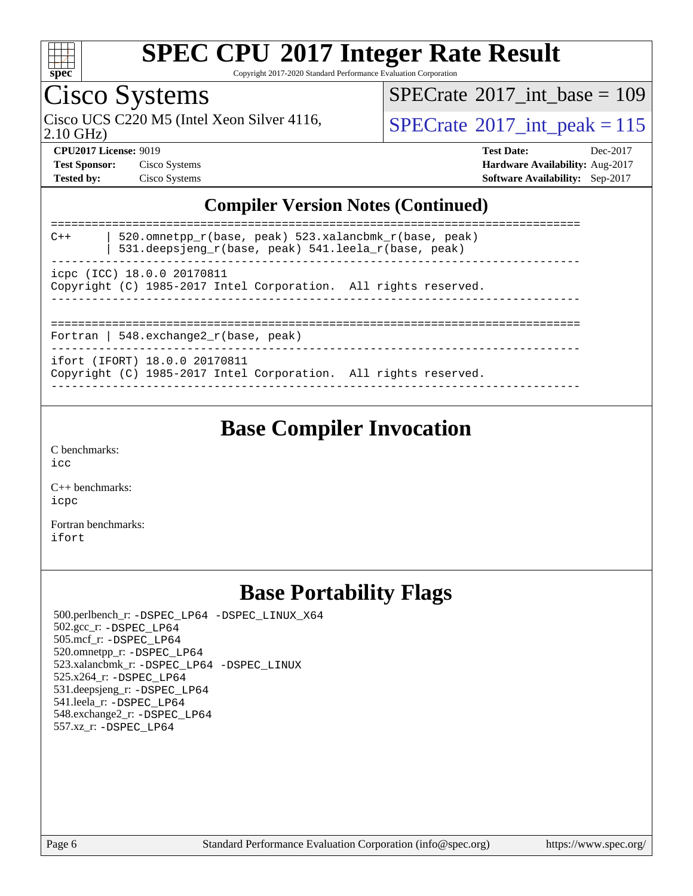![](_page_5_Picture_0.jpeg)

Copyright 2017-2020 Standard Performance Evaluation Corporation

# Cisco Systems

 $SPECTate@2017_int\_base = 109$ 

Cisco UCS C220 M5 (Intel Xeon Silver 4116,  $\text{SPECrate}$  $\text{SPECrate}$  $\text{SPECrate}$ <sup>®</sup>[2017\\_int\\_peak = 1](http://www.spec.org/auto/cpu2017/Docs/result-fields.html#SPECrate2017intpeak)15

2.10 GHz)

**[CPU2017 License:](http://www.spec.org/auto/cpu2017/Docs/result-fields.html#CPU2017License)** 9019 **[Test Date:](http://www.spec.org/auto/cpu2017/Docs/result-fields.html#TestDate)** Dec-2017 **[Test Sponsor:](http://www.spec.org/auto/cpu2017/Docs/result-fields.html#TestSponsor)** Cisco Systems **[Hardware Availability:](http://www.spec.org/auto/cpu2017/Docs/result-fields.html#HardwareAvailability)** Aug-2017 **[Tested by:](http://www.spec.org/auto/cpu2017/Docs/result-fields.html#Testedby)** Cisco Systems **[Software Availability:](http://www.spec.org/auto/cpu2017/Docs/result-fields.html#SoftwareAvailability)** Sep-2017

#### **[Compiler Version Notes \(Continued\)](http://www.spec.org/auto/cpu2017/Docs/result-fields.html#CompilerVersionNotes)**

| $C++$                                    | 520.omnetpp $r(base, peak)$ 523.xalancbmk $r(base, peak)$<br>531.deepsjeng $r(base, peak)$ 541.leela $r(base, peak)$ |  |  |  |  |  |  |
|------------------------------------------|----------------------------------------------------------------------------------------------------------------------|--|--|--|--|--|--|
|                                          | icpc (ICC) 18.0.0 20170811<br>Copyright (C) 1985-2017 Intel Corporation. All rights reserved.                        |  |  |  |  |  |  |
|                                          |                                                                                                                      |  |  |  |  |  |  |
| Fortran   548. $exchange2 r(base, peak)$ |                                                                                                                      |  |  |  |  |  |  |
|                                          | ifort (IFORT) 18.0.0 20170811<br>Copyright (C) 1985-2017 Intel Corporation. All rights reserved.                     |  |  |  |  |  |  |

------------------------------------------------------------------------------

**[Base Compiler Invocation](http://www.spec.org/auto/cpu2017/Docs/result-fields.html#BaseCompilerInvocation)**

[C benchmarks](http://www.spec.org/auto/cpu2017/Docs/result-fields.html#Cbenchmarks): [icc](http://www.spec.org/cpu2017/results/res2017q4/cpu2017-20171211-01546.flags.html#user_CCbase_intel_icc_18.0_66fc1ee009f7361af1fbd72ca7dcefbb700085f36577c54f309893dd4ec40d12360134090235512931783d35fd58c0460139e722d5067c5574d8eaf2b3e37e92)

[C++ benchmarks:](http://www.spec.org/auto/cpu2017/Docs/result-fields.html#CXXbenchmarks) [icpc](http://www.spec.org/cpu2017/results/res2017q4/cpu2017-20171211-01546.flags.html#user_CXXbase_intel_icpc_18.0_c510b6838c7f56d33e37e94d029a35b4a7bccf4766a728ee175e80a419847e808290a9b78be685c44ab727ea267ec2f070ec5dc83b407c0218cded6866a35d07)

[Fortran benchmarks](http://www.spec.org/auto/cpu2017/Docs/result-fields.html#Fortranbenchmarks): [ifort](http://www.spec.org/cpu2017/results/res2017q4/cpu2017-20171211-01546.flags.html#user_FCbase_intel_ifort_18.0_8111460550e3ca792625aed983ce982f94888b8b503583aa7ba2b8303487b4d8a21a13e7191a45c5fd58ff318f48f9492884d4413fa793fd88dd292cad7027ca)

### **[Base Portability Flags](http://www.spec.org/auto/cpu2017/Docs/result-fields.html#BasePortabilityFlags)**

 500.perlbench\_r: [-DSPEC\\_LP64](http://www.spec.org/cpu2017/results/res2017q4/cpu2017-20171211-01546.flags.html#b500.perlbench_r_basePORTABILITY_DSPEC_LP64) [-DSPEC\\_LINUX\\_X64](http://www.spec.org/cpu2017/results/res2017q4/cpu2017-20171211-01546.flags.html#b500.perlbench_r_baseCPORTABILITY_DSPEC_LINUX_X64) 502.gcc\_r: [-DSPEC\\_LP64](http://www.spec.org/cpu2017/results/res2017q4/cpu2017-20171211-01546.flags.html#suite_basePORTABILITY502_gcc_r_DSPEC_LP64) 505.mcf\_r: [-DSPEC\\_LP64](http://www.spec.org/cpu2017/results/res2017q4/cpu2017-20171211-01546.flags.html#suite_basePORTABILITY505_mcf_r_DSPEC_LP64) 520.omnetpp\_r: [-DSPEC\\_LP64](http://www.spec.org/cpu2017/results/res2017q4/cpu2017-20171211-01546.flags.html#suite_basePORTABILITY520_omnetpp_r_DSPEC_LP64) 523.xalancbmk\_r: [-DSPEC\\_LP64](http://www.spec.org/cpu2017/results/res2017q4/cpu2017-20171211-01546.flags.html#suite_basePORTABILITY523_xalancbmk_r_DSPEC_LP64) [-DSPEC\\_LINUX](http://www.spec.org/cpu2017/results/res2017q4/cpu2017-20171211-01546.flags.html#b523.xalancbmk_r_baseCXXPORTABILITY_DSPEC_LINUX) 525.x264\_r: [-DSPEC\\_LP64](http://www.spec.org/cpu2017/results/res2017q4/cpu2017-20171211-01546.flags.html#suite_basePORTABILITY525_x264_r_DSPEC_LP64) 531.deepsjeng\_r: [-DSPEC\\_LP64](http://www.spec.org/cpu2017/results/res2017q4/cpu2017-20171211-01546.flags.html#suite_basePORTABILITY531_deepsjeng_r_DSPEC_LP64) 541.leela\_r: [-DSPEC\\_LP64](http://www.spec.org/cpu2017/results/res2017q4/cpu2017-20171211-01546.flags.html#suite_basePORTABILITY541_leela_r_DSPEC_LP64) 548.exchange2\_r: [-DSPEC\\_LP64](http://www.spec.org/cpu2017/results/res2017q4/cpu2017-20171211-01546.flags.html#suite_basePORTABILITY548_exchange2_r_DSPEC_LP64) 557.xz\_r: [-DSPEC\\_LP64](http://www.spec.org/cpu2017/results/res2017q4/cpu2017-20171211-01546.flags.html#suite_basePORTABILITY557_xz_r_DSPEC_LP64)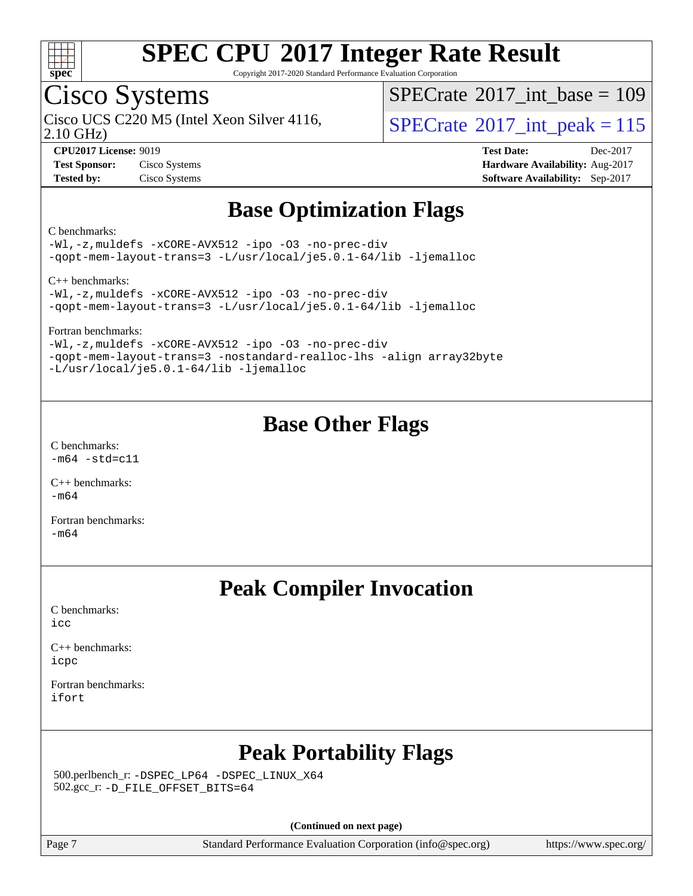![](_page_6_Picture_0.jpeg)

Copyright 2017-2020 Standard Performance Evaluation Corporation

### Cisco Systems

2.10 GHz)

 $SPECTate@2017_int\_base = 109$ 

Cisco UCS C220 M5 (Intel Xeon Silver 4116,  $\vert$ [SPECrate](http://www.spec.org/auto/cpu2017/Docs/result-fields.html#SPECrate2017intpeak)®[2017\\_int\\_peak = 1](http://www.spec.org/auto/cpu2017/Docs/result-fields.html#SPECrate2017intpeak)15

**[CPU2017 License:](http://www.spec.org/auto/cpu2017/Docs/result-fields.html#CPU2017License)** 9019 **[Test Date:](http://www.spec.org/auto/cpu2017/Docs/result-fields.html#TestDate)** Dec-2017 **[Test Sponsor:](http://www.spec.org/auto/cpu2017/Docs/result-fields.html#TestSponsor)** Cisco Systems **[Hardware Availability:](http://www.spec.org/auto/cpu2017/Docs/result-fields.html#HardwareAvailability)** Aug-2017 **[Tested by:](http://www.spec.org/auto/cpu2017/Docs/result-fields.html#Testedby)** Cisco Systems **[Software Availability:](http://www.spec.org/auto/cpu2017/Docs/result-fields.html#SoftwareAvailability)** Sep-2017

### **[Base Optimization Flags](http://www.spec.org/auto/cpu2017/Docs/result-fields.html#BaseOptimizationFlags)**

#### [C benchmarks](http://www.spec.org/auto/cpu2017/Docs/result-fields.html#Cbenchmarks):

[-Wl,-z,muldefs](http://www.spec.org/cpu2017/results/res2017q4/cpu2017-20171211-01546.flags.html#user_CCbase_link_force_multiple1_b4cbdb97b34bdee9ceefcfe54f4c8ea74255f0b02a4b23e853cdb0e18eb4525ac79b5a88067c842dd0ee6996c24547a27a4b99331201badda8798ef8a743f577) [-xCORE-AVX512](http://www.spec.org/cpu2017/results/res2017q4/cpu2017-20171211-01546.flags.html#user_CCbase_f-xCORE-AVX512) [-ipo](http://www.spec.org/cpu2017/results/res2017q4/cpu2017-20171211-01546.flags.html#user_CCbase_f-ipo) [-O3](http://www.spec.org/cpu2017/results/res2017q4/cpu2017-20171211-01546.flags.html#user_CCbase_f-O3) [-no-prec-div](http://www.spec.org/cpu2017/results/res2017q4/cpu2017-20171211-01546.flags.html#user_CCbase_f-no-prec-div) [-qopt-mem-layout-trans=3](http://www.spec.org/cpu2017/results/res2017q4/cpu2017-20171211-01546.flags.html#user_CCbase_f-qopt-mem-layout-trans_de80db37974c74b1f0e20d883f0b675c88c3b01e9d123adea9b28688d64333345fb62bc4a798493513fdb68f60282f9a726aa07f478b2f7113531aecce732043) [-L/usr/local/je5.0.1-64/lib](http://www.spec.org/cpu2017/results/res2017q4/cpu2017-20171211-01546.flags.html#user_CCbase_jemalloc_link_path64_4b10a636b7bce113509b17f3bd0d6226c5fb2346b9178c2d0232c14f04ab830f976640479e5c33dc2bcbbdad86ecfb6634cbbd4418746f06f368b512fced5394) [-ljemalloc](http://www.spec.org/cpu2017/results/res2017q4/cpu2017-20171211-01546.flags.html#user_CCbase_jemalloc_link_lib_d1249b907c500fa1c0672f44f562e3d0f79738ae9e3c4a9c376d49f265a04b9c99b167ecedbf6711b3085be911c67ff61f150a17b3472be731631ba4d0471706)

[C++ benchmarks](http://www.spec.org/auto/cpu2017/Docs/result-fields.html#CXXbenchmarks):

[-Wl,-z,muldefs](http://www.spec.org/cpu2017/results/res2017q4/cpu2017-20171211-01546.flags.html#user_CXXbase_link_force_multiple1_b4cbdb97b34bdee9ceefcfe54f4c8ea74255f0b02a4b23e853cdb0e18eb4525ac79b5a88067c842dd0ee6996c24547a27a4b99331201badda8798ef8a743f577) [-xCORE-AVX512](http://www.spec.org/cpu2017/results/res2017q4/cpu2017-20171211-01546.flags.html#user_CXXbase_f-xCORE-AVX512) [-ipo](http://www.spec.org/cpu2017/results/res2017q4/cpu2017-20171211-01546.flags.html#user_CXXbase_f-ipo) [-O3](http://www.spec.org/cpu2017/results/res2017q4/cpu2017-20171211-01546.flags.html#user_CXXbase_f-O3) [-no-prec-div](http://www.spec.org/cpu2017/results/res2017q4/cpu2017-20171211-01546.flags.html#user_CXXbase_f-no-prec-div) [-qopt-mem-layout-trans=3](http://www.spec.org/cpu2017/results/res2017q4/cpu2017-20171211-01546.flags.html#user_CXXbase_f-qopt-mem-layout-trans_de80db37974c74b1f0e20d883f0b675c88c3b01e9d123adea9b28688d64333345fb62bc4a798493513fdb68f60282f9a726aa07f478b2f7113531aecce732043) [-L/usr/local/je5.0.1-64/lib](http://www.spec.org/cpu2017/results/res2017q4/cpu2017-20171211-01546.flags.html#user_CXXbase_jemalloc_link_path64_4b10a636b7bce113509b17f3bd0d6226c5fb2346b9178c2d0232c14f04ab830f976640479e5c33dc2bcbbdad86ecfb6634cbbd4418746f06f368b512fced5394) [-ljemalloc](http://www.spec.org/cpu2017/results/res2017q4/cpu2017-20171211-01546.flags.html#user_CXXbase_jemalloc_link_lib_d1249b907c500fa1c0672f44f562e3d0f79738ae9e3c4a9c376d49f265a04b9c99b167ecedbf6711b3085be911c67ff61f150a17b3472be731631ba4d0471706)

[Fortran benchmarks:](http://www.spec.org/auto/cpu2017/Docs/result-fields.html#Fortranbenchmarks)

[-Wl,-z,muldefs](http://www.spec.org/cpu2017/results/res2017q4/cpu2017-20171211-01546.flags.html#user_FCbase_link_force_multiple1_b4cbdb97b34bdee9ceefcfe54f4c8ea74255f0b02a4b23e853cdb0e18eb4525ac79b5a88067c842dd0ee6996c24547a27a4b99331201badda8798ef8a743f577) [-xCORE-AVX512](http://www.spec.org/cpu2017/results/res2017q4/cpu2017-20171211-01546.flags.html#user_FCbase_f-xCORE-AVX512) [-ipo](http://www.spec.org/cpu2017/results/res2017q4/cpu2017-20171211-01546.flags.html#user_FCbase_f-ipo) [-O3](http://www.spec.org/cpu2017/results/res2017q4/cpu2017-20171211-01546.flags.html#user_FCbase_f-O3) [-no-prec-div](http://www.spec.org/cpu2017/results/res2017q4/cpu2017-20171211-01546.flags.html#user_FCbase_f-no-prec-div) [-qopt-mem-layout-trans=3](http://www.spec.org/cpu2017/results/res2017q4/cpu2017-20171211-01546.flags.html#user_FCbase_f-qopt-mem-layout-trans_de80db37974c74b1f0e20d883f0b675c88c3b01e9d123adea9b28688d64333345fb62bc4a798493513fdb68f60282f9a726aa07f478b2f7113531aecce732043) [-nostandard-realloc-lhs](http://www.spec.org/cpu2017/results/res2017q4/cpu2017-20171211-01546.flags.html#user_FCbase_f_2003_std_realloc_82b4557e90729c0f113870c07e44d33d6f5a304b4f63d4c15d2d0f1fab99f5daaed73bdb9275d9ae411527f28b936061aa8b9c8f2d63842963b95c9dd6426b8a) [-align array32byte](http://www.spec.org/cpu2017/results/res2017q4/cpu2017-20171211-01546.flags.html#user_FCbase_align_array32byte_b982fe038af199962ba9a80c053b8342c548c85b40b8e86eb3cc33dee0d7986a4af373ac2d51c3f7cf710a18d62fdce2948f201cd044323541f22fc0fffc51b6) [-L/usr/local/je5.0.1-64/lib](http://www.spec.org/cpu2017/results/res2017q4/cpu2017-20171211-01546.flags.html#user_FCbase_jemalloc_link_path64_4b10a636b7bce113509b17f3bd0d6226c5fb2346b9178c2d0232c14f04ab830f976640479e5c33dc2bcbbdad86ecfb6634cbbd4418746f06f368b512fced5394) [-ljemalloc](http://www.spec.org/cpu2017/results/res2017q4/cpu2017-20171211-01546.flags.html#user_FCbase_jemalloc_link_lib_d1249b907c500fa1c0672f44f562e3d0f79738ae9e3c4a9c376d49f265a04b9c99b167ecedbf6711b3085be911c67ff61f150a17b3472be731631ba4d0471706)

### **[Base Other Flags](http://www.spec.org/auto/cpu2017/Docs/result-fields.html#BaseOtherFlags)**

[C benchmarks](http://www.spec.org/auto/cpu2017/Docs/result-fields.html#Cbenchmarks):  $-m64 - std= c11$  $-m64 - std= c11$ 

[C++ benchmarks:](http://www.spec.org/auto/cpu2017/Docs/result-fields.html#CXXbenchmarks) [-m64](http://www.spec.org/cpu2017/results/res2017q4/cpu2017-20171211-01546.flags.html#user_CXXbase_intel_intel64_18.0_af43caccfc8ded86e7699f2159af6efc7655f51387b94da716254467f3c01020a5059329e2569e4053f409e7c9202a7efc638f7a6d1ffb3f52dea4a3e31d82ab)

[Fortran benchmarks](http://www.spec.org/auto/cpu2017/Docs/result-fields.html#Fortranbenchmarks): [-m64](http://www.spec.org/cpu2017/results/res2017q4/cpu2017-20171211-01546.flags.html#user_FCbase_intel_intel64_18.0_af43caccfc8ded86e7699f2159af6efc7655f51387b94da716254467f3c01020a5059329e2569e4053f409e7c9202a7efc638f7a6d1ffb3f52dea4a3e31d82ab)

### **[Peak Compiler Invocation](http://www.spec.org/auto/cpu2017/Docs/result-fields.html#PeakCompilerInvocation)**

[C benchmarks](http://www.spec.org/auto/cpu2017/Docs/result-fields.html#Cbenchmarks): [icc](http://www.spec.org/cpu2017/results/res2017q4/cpu2017-20171211-01546.flags.html#user_CCpeak_intel_icc_18.0_66fc1ee009f7361af1fbd72ca7dcefbb700085f36577c54f309893dd4ec40d12360134090235512931783d35fd58c0460139e722d5067c5574d8eaf2b3e37e92)

[C++ benchmarks:](http://www.spec.org/auto/cpu2017/Docs/result-fields.html#CXXbenchmarks) [icpc](http://www.spec.org/cpu2017/results/res2017q4/cpu2017-20171211-01546.flags.html#user_CXXpeak_intel_icpc_18.0_c510b6838c7f56d33e37e94d029a35b4a7bccf4766a728ee175e80a419847e808290a9b78be685c44ab727ea267ec2f070ec5dc83b407c0218cded6866a35d07)

[Fortran benchmarks](http://www.spec.org/auto/cpu2017/Docs/result-fields.html#Fortranbenchmarks): [ifort](http://www.spec.org/cpu2017/results/res2017q4/cpu2017-20171211-01546.flags.html#user_FCpeak_intel_ifort_18.0_8111460550e3ca792625aed983ce982f94888b8b503583aa7ba2b8303487b4d8a21a13e7191a45c5fd58ff318f48f9492884d4413fa793fd88dd292cad7027ca)

### **[Peak Portability Flags](http://www.spec.org/auto/cpu2017/Docs/result-fields.html#PeakPortabilityFlags)**

 500.perlbench\_r: [-DSPEC\\_LP64](http://www.spec.org/cpu2017/results/res2017q4/cpu2017-20171211-01546.flags.html#b500.perlbench_r_peakPORTABILITY_DSPEC_LP64) [-DSPEC\\_LINUX\\_X64](http://www.spec.org/cpu2017/results/res2017q4/cpu2017-20171211-01546.flags.html#b500.perlbench_r_peakCPORTABILITY_DSPEC_LINUX_X64) 502.gcc\_r: [-D\\_FILE\\_OFFSET\\_BITS=64](http://www.spec.org/cpu2017/results/res2017q4/cpu2017-20171211-01546.flags.html#user_peakPORTABILITY502_gcc_r_file_offset_bits_64_5ae949a99b284ddf4e95728d47cb0843d81b2eb0e18bdfe74bbf0f61d0b064f4bda2f10ea5eb90e1dcab0e84dbc592acfc5018bc955c18609f94ddb8d550002c)

**(Continued on next page)**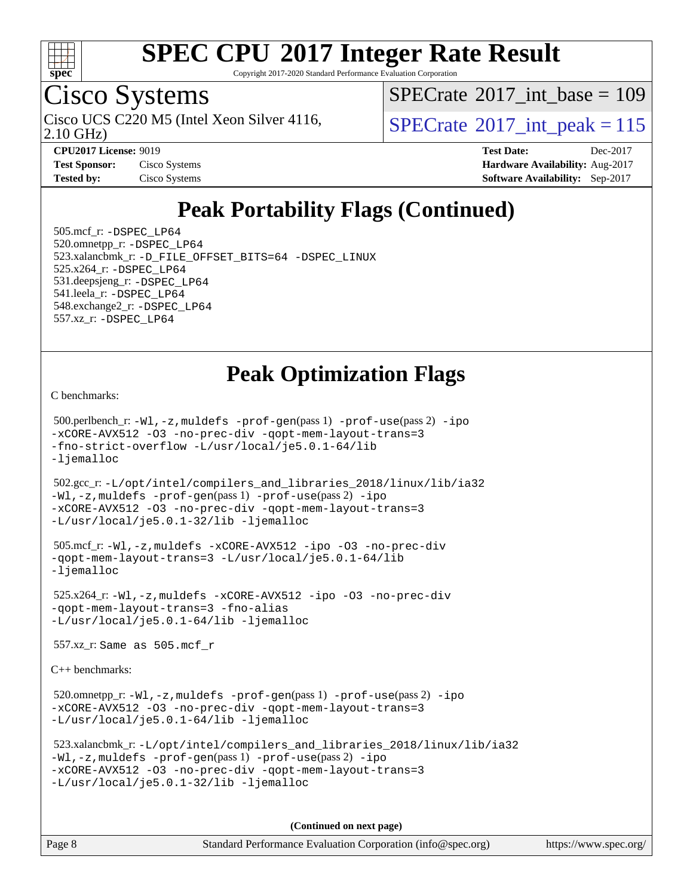![](_page_7_Picture_0.jpeg)

Copyright 2017-2020 Standard Performance Evaluation Corporation

### Cisco Systems

2.10 GHz) Cisco UCS C220 M5 (Intel Xeon Silver 4116,  $\text{SPECrate}$  $\text{SPECrate}$  $\text{SPECrate}$ <sup>®</sup>[2017\\_int\\_peak = 1](http://www.spec.org/auto/cpu2017/Docs/result-fields.html#SPECrate2017intpeak)15

 $SPECTate$ <sup>®</sup>[2017\\_int\\_base =](http://www.spec.org/auto/cpu2017/Docs/result-fields.html#SPECrate2017intbase) 109

**[Test Sponsor:](http://www.spec.org/auto/cpu2017/Docs/result-fields.html#TestSponsor)** Cisco Systems **Cisco Systems [Hardware Availability:](http://www.spec.org/auto/cpu2017/Docs/result-fields.html#HardwareAvailability)** Aug-2017 **[Tested by:](http://www.spec.org/auto/cpu2017/Docs/result-fields.html#Testedby)** Cisco Systems **[Software Availability:](http://www.spec.org/auto/cpu2017/Docs/result-fields.html#SoftwareAvailability)** Sep-2017

**[CPU2017 License:](http://www.spec.org/auto/cpu2017/Docs/result-fields.html#CPU2017License)** 9019 **[Test Date:](http://www.spec.org/auto/cpu2017/Docs/result-fields.html#TestDate)** Dec-2017

### **[Peak Portability Flags \(Continued\)](http://www.spec.org/auto/cpu2017/Docs/result-fields.html#PeakPortabilityFlags)**

 505.mcf\_r: [-DSPEC\\_LP64](http://www.spec.org/cpu2017/results/res2017q4/cpu2017-20171211-01546.flags.html#suite_peakPORTABILITY505_mcf_r_DSPEC_LP64) 520.omnetpp\_r: [-DSPEC\\_LP64](http://www.spec.org/cpu2017/results/res2017q4/cpu2017-20171211-01546.flags.html#suite_peakPORTABILITY520_omnetpp_r_DSPEC_LP64) 523.xalancbmk\_r: [-D\\_FILE\\_OFFSET\\_BITS=64](http://www.spec.org/cpu2017/results/res2017q4/cpu2017-20171211-01546.flags.html#user_peakPORTABILITY523_xalancbmk_r_file_offset_bits_64_5ae949a99b284ddf4e95728d47cb0843d81b2eb0e18bdfe74bbf0f61d0b064f4bda2f10ea5eb90e1dcab0e84dbc592acfc5018bc955c18609f94ddb8d550002c) [-DSPEC\\_LINUX](http://www.spec.org/cpu2017/results/res2017q4/cpu2017-20171211-01546.flags.html#b523.xalancbmk_r_peakCXXPORTABILITY_DSPEC_LINUX) 525.x264\_r: [-DSPEC\\_LP64](http://www.spec.org/cpu2017/results/res2017q4/cpu2017-20171211-01546.flags.html#suite_peakPORTABILITY525_x264_r_DSPEC_LP64) 531.deepsjeng\_r: [-DSPEC\\_LP64](http://www.spec.org/cpu2017/results/res2017q4/cpu2017-20171211-01546.flags.html#suite_peakPORTABILITY531_deepsjeng_r_DSPEC_LP64) 541.leela\_r: [-DSPEC\\_LP64](http://www.spec.org/cpu2017/results/res2017q4/cpu2017-20171211-01546.flags.html#suite_peakPORTABILITY541_leela_r_DSPEC_LP64) 548.exchange2\_r: [-DSPEC\\_LP64](http://www.spec.org/cpu2017/results/res2017q4/cpu2017-20171211-01546.flags.html#suite_peakPORTABILITY548_exchange2_r_DSPEC_LP64) 557.xz\_r: [-DSPEC\\_LP64](http://www.spec.org/cpu2017/results/res2017q4/cpu2017-20171211-01546.flags.html#suite_peakPORTABILITY557_xz_r_DSPEC_LP64)

### **[Peak Optimization Flags](http://www.spec.org/auto/cpu2017/Docs/result-fields.html#PeakOptimizationFlags)**

[C benchmarks](http://www.spec.org/auto/cpu2017/Docs/result-fields.html#Cbenchmarks):

 500.perlbench\_r: [-Wl,-z,muldefs](http://www.spec.org/cpu2017/results/res2017q4/cpu2017-20171211-01546.flags.html#user_peakEXTRA_LDFLAGS500_perlbench_r_link_force_multiple1_b4cbdb97b34bdee9ceefcfe54f4c8ea74255f0b02a4b23e853cdb0e18eb4525ac79b5a88067c842dd0ee6996c24547a27a4b99331201badda8798ef8a743f577) [-prof-gen](http://www.spec.org/cpu2017/results/res2017q4/cpu2017-20171211-01546.flags.html#user_peakPASS1_CFLAGSPASS1_LDFLAGS500_perlbench_r_prof_gen_5aa4926d6013ddb2a31985c654b3eb18169fc0c6952a63635c234f711e6e63dd76e94ad52365559451ec499a2cdb89e4dc58ba4c67ef54ca681ffbe1461d6b36)(pass 1) [-prof-use](http://www.spec.org/cpu2017/results/res2017q4/cpu2017-20171211-01546.flags.html#user_peakPASS2_CFLAGSPASS2_LDFLAGS500_perlbench_r_prof_use_1a21ceae95f36a2b53c25747139a6c16ca95bd9def2a207b4f0849963b97e94f5260e30a0c64f4bb623698870e679ca08317ef8150905d41bd88c6f78df73f19)(pass 2) [-ipo](http://www.spec.org/cpu2017/results/res2017q4/cpu2017-20171211-01546.flags.html#user_peakPASS1_COPTIMIZEPASS2_COPTIMIZE500_perlbench_r_f-ipo) [-xCORE-AVX512](http://www.spec.org/cpu2017/results/res2017q4/cpu2017-20171211-01546.flags.html#user_peakPASS2_COPTIMIZE500_perlbench_r_f-xCORE-AVX512) [-O3](http://www.spec.org/cpu2017/results/res2017q4/cpu2017-20171211-01546.flags.html#user_peakPASS1_COPTIMIZEPASS2_COPTIMIZE500_perlbench_r_f-O3) [-no-prec-div](http://www.spec.org/cpu2017/results/res2017q4/cpu2017-20171211-01546.flags.html#user_peakPASS1_COPTIMIZEPASS2_COPTIMIZE500_perlbench_r_f-no-prec-div) [-qopt-mem-layout-trans=3](http://www.spec.org/cpu2017/results/res2017q4/cpu2017-20171211-01546.flags.html#user_peakPASS1_COPTIMIZEPASS2_COPTIMIZE500_perlbench_r_f-qopt-mem-layout-trans_de80db37974c74b1f0e20d883f0b675c88c3b01e9d123adea9b28688d64333345fb62bc4a798493513fdb68f60282f9a726aa07f478b2f7113531aecce732043) [-fno-strict-overflow](http://www.spec.org/cpu2017/results/res2017q4/cpu2017-20171211-01546.flags.html#user_peakEXTRA_OPTIMIZE500_perlbench_r_f-fno-strict-overflow) [-L/usr/local/je5.0.1-64/lib](http://www.spec.org/cpu2017/results/res2017q4/cpu2017-20171211-01546.flags.html#user_peakEXTRA_LIBS500_perlbench_r_jemalloc_link_path64_4b10a636b7bce113509b17f3bd0d6226c5fb2346b9178c2d0232c14f04ab830f976640479e5c33dc2bcbbdad86ecfb6634cbbd4418746f06f368b512fced5394) [-ljemalloc](http://www.spec.org/cpu2017/results/res2017q4/cpu2017-20171211-01546.flags.html#user_peakEXTRA_LIBS500_perlbench_r_jemalloc_link_lib_d1249b907c500fa1c0672f44f562e3d0f79738ae9e3c4a9c376d49f265a04b9c99b167ecedbf6711b3085be911c67ff61f150a17b3472be731631ba4d0471706)

 502.gcc\_r: [-L/opt/intel/compilers\\_and\\_libraries\\_2018/linux/lib/ia32](http://www.spec.org/cpu2017/results/res2017q4/cpu2017-20171211-01546.flags.html#user_peakCCLD502_gcc_r_Enable-32bit-runtime_af243bdb1d79e4c7a4f720bf8275e627de2ecd461de63307bc14cef0633fde3cd7bb2facb32dcc8be9566045fb55d40ce2b72b725f73827aa7833441b71b9343) [-Wl,-z,muldefs](http://www.spec.org/cpu2017/results/res2017q4/cpu2017-20171211-01546.flags.html#user_peakEXTRA_LDFLAGS502_gcc_r_link_force_multiple1_b4cbdb97b34bdee9ceefcfe54f4c8ea74255f0b02a4b23e853cdb0e18eb4525ac79b5a88067c842dd0ee6996c24547a27a4b99331201badda8798ef8a743f577) [-prof-gen](http://www.spec.org/cpu2017/results/res2017q4/cpu2017-20171211-01546.flags.html#user_peakPASS1_CFLAGSPASS1_LDFLAGS502_gcc_r_prof_gen_5aa4926d6013ddb2a31985c654b3eb18169fc0c6952a63635c234f711e6e63dd76e94ad52365559451ec499a2cdb89e4dc58ba4c67ef54ca681ffbe1461d6b36)(pass 1) [-prof-use](http://www.spec.org/cpu2017/results/res2017q4/cpu2017-20171211-01546.flags.html#user_peakPASS2_CFLAGSPASS2_LDFLAGS502_gcc_r_prof_use_1a21ceae95f36a2b53c25747139a6c16ca95bd9def2a207b4f0849963b97e94f5260e30a0c64f4bb623698870e679ca08317ef8150905d41bd88c6f78df73f19)(pass 2) [-ipo](http://www.spec.org/cpu2017/results/res2017q4/cpu2017-20171211-01546.flags.html#user_peakPASS1_COPTIMIZEPASS2_COPTIMIZE502_gcc_r_f-ipo) [-xCORE-AVX512](http://www.spec.org/cpu2017/results/res2017q4/cpu2017-20171211-01546.flags.html#user_peakPASS2_COPTIMIZE502_gcc_r_f-xCORE-AVX512) [-O3](http://www.spec.org/cpu2017/results/res2017q4/cpu2017-20171211-01546.flags.html#user_peakPASS1_COPTIMIZEPASS2_COPTIMIZE502_gcc_r_f-O3) [-no-prec-div](http://www.spec.org/cpu2017/results/res2017q4/cpu2017-20171211-01546.flags.html#user_peakPASS1_COPTIMIZEPASS2_COPTIMIZE502_gcc_r_f-no-prec-div) [-qopt-mem-layout-trans=3](http://www.spec.org/cpu2017/results/res2017q4/cpu2017-20171211-01546.flags.html#user_peakPASS1_COPTIMIZEPASS2_COPTIMIZE502_gcc_r_f-qopt-mem-layout-trans_de80db37974c74b1f0e20d883f0b675c88c3b01e9d123adea9b28688d64333345fb62bc4a798493513fdb68f60282f9a726aa07f478b2f7113531aecce732043) [-L/usr/local/je5.0.1-32/lib](http://www.spec.org/cpu2017/results/res2017q4/cpu2017-20171211-01546.flags.html#user_peakEXTRA_LIBS502_gcc_r_jemalloc_link_path32_e29f22e8e6c17053bbc6a0971f5a9c01a601a06bb1a59df2084b77a2fe0a2995b64fd4256feaeea39eeba3aae142e96e2b2b0a28974019c0c0c88139a84f900a) [-ljemalloc](http://www.spec.org/cpu2017/results/res2017q4/cpu2017-20171211-01546.flags.html#user_peakEXTRA_LIBS502_gcc_r_jemalloc_link_lib_d1249b907c500fa1c0672f44f562e3d0f79738ae9e3c4a9c376d49f265a04b9c99b167ecedbf6711b3085be911c67ff61f150a17b3472be731631ba4d0471706)

```
 505.mcf_r: -Wl,-z,muldefs -xCORE-AVX512 -ipo -O3 -no-prec-div
-qopt-mem-layout-trans=3 -L/usr/local/je5.0.1-64/lib
-ljemalloc
```
 525.x264\_r: [-Wl,-z,muldefs](http://www.spec.org/cpu2017/results/res2017q4/cpu2017-20171211-01546.flags.html#user_peakEXTRA_LDFLAGS525_x264_r_link_force_multiple1_b4cbdb97b34bdee9ceefcfe54f4c8ea74255f0b02a4b23e853cdb0e18eb4525ac79b5a88067c842dd0ee6996c24547a27a4b99331201badda8798ef8a743f577) [-xCORE-AVX512](http://www.spec.org/cpu2017/results/res2017q4/cpu2017-20171211-01546.flags.html#user_peakCOPTIMIZE525_x264_r_f-xCORE-AVX512) [-ipo](http://www.spec.org/cpu2017/results/res2017q4/cpu2017-20171211-01546.flags.html#user_peakCOPTIMIZE525_x264_r_f-ipo) [-O3](http://www.spec.org/cpu2017/results/res2017q4/cpu2017-20171211-01546.flags.html#user_peakCOPTIMIZE525_x264_r_f-O3) [-no-prec-div](http://www.spec.org/cpu2017/results/res2017q4/cpu2017-20171211-01546.flags.html#user_peakCOPTIMIZE525_x264_r_f-no-prec-div) [-qopt-mem-layout-trans=3](http://www.spec.org/cpu2017/results/res2017q4/cpu2017-20171211-01546.flags.html#user_peakCOPTIMIZE525_x264_r_f-qopt-mem-layout-trans_de80db37974c74b1f0e20d883f0b675c88c3b01e9d123adea9b28688d64333345fb62bc4a798493513fdb68f60282f9a726aa07f478b2f7113531aecce732043) [-fno-alias](http://www.spec.org/cpu2017/results/res2017q4/cpu2017-20171211-01546.flags.html#user_peakEXTRA_OPTIMIZE525_x264_r_f-no-alias_77dbac10d91cbfe898fbf4a29d1b29b694089caa623bdd1baccc9957d4edbe8d106c0b357e2748a65b44fc9e83d78098bb898077f3fe92f9faf24f7bd4a07ed7) [-L/usr/local/je5.0.1-64/lib](http://www.spec.org/cpu2017/results/res2017q4/cpu2017-20171211-01546.flags.html#user_peakEXTRA_LIBS525_x264_r_jemalloc_link_path64_4b10a636b7bce113509b17f3bd0d6226c5fb2346b9178c2d0232c14f04ab830f976640479e5c33dc2bcbbdad86ecfb6634cbbd4418746f06f368b512fced5394) [-ljemalloc](http://www.spec.org/cpu2017/results/res2017q4/cpu2017-20171211-01546.flags.html#user_peakEXTRA_LIBS525_x264_r_jemalloc_link_lib_d1249b907c500fa1c0672f44f562e3d0f79738ae9e3c4a9c376d49f265a04b9c99b167ecedbf6711b3085be911c67ff61f150a17b3472be731631ba4d0471706)

557.xz\_r: Same as 505.mcf\_r

[C++ benchmarks:](http://www.spec.org/auto/cpu2017/Docs/result-fields.html#CXXbenchmarks)

520.omnetpp\_r: $-Wl$ ,-z,muldefs -prof-qen(pass 1) [-prof-use](http://www.spec.org/cpu2017/results/res2017q4/cpu2017-20171211-01546.flags.html#user_peakPASS2_CXXFLAGSPASS2_LDFLAGS520_omnetpp_r_prof_use_1a21ceae95f36a2b53c25747139a6c16ca95bd9def2a207b4f0849963b97e94f5260e30a0c64f4bb623698870e679ca08317ef8150905d41bd88c6f78df73f19)(pass 2) [-ipo](http://www.spec.org/cpu2017/results/res2017q4/cpu2017-20171211-01546.flags.html#user_peakPASS1_CXXOPTIMIZEPASS2_CXXOPTIMIZE520_omnetpp_r_f-ipo) [-xCORE-AVX512](http://www.spec.org/cpu2017/results/res2017q4/cpu2017-20171211-01546.flags.html#user_peakPASS2_CXXOPTIMIZE520_omnetpp_r_f-xCORE-AVX512) [-O3](http://www.spec.org/cpu2017/results/res2017q4/cpu2017-20171211-01546.flags.html#user_peakPASS1_CXXOPTIMIZEPASS2_CXXOPTIMIZE520_omnetpp_r_f-O3) [-no-prec-div](http://www.spec.org/cpu2017/results/res2017q4/cpu2017-20171211-01546.flags.html#user_peakPASS1_CXXOPTIMIZEPASS2_CXXOPTIMIZE520_omnetpp_r_f-no-prec-div) [-qopt-mem-layout-trans=3](http://www.spec.org/cpu2017/results/res2017q4/cpu2017-20171211-01546.flags.html#user_peakPASS1_CXXOPTIMIZEPASS2_CXXOPTIMIZE520_omnetpp_r_f-qopt-mem-layout-trans_de80db37974c74b1f0e20d883f0b675c88c3b01e9d123adea9b28688d64333345fb62bc4a798493513fdb68f60282f9a726aa07f478b2f7113531aecce732043) [-L/usr/local/je5.0.1-64/lib](http://www.spec.org/cpu2017/results/res2017q4/cpu2017-20171211-01546.flags.html#user_peakEXTRA_LIBS520_omnetpp_r_jemalloc_link_path64_4b10a636b7bce113509b17f3bd0d6226c5fb2346b9178c2d0232c14f04ab830f976640479e5c33dc2bcbbdad86ecfb6634cbbd4418746f06f368b512fced5394) [-ljemalloc](http://www.spec.org/cpu2017/results/res2017q4/cpu2017-20171211-01546.flags.html#user_peakEXTRA_LIBS520_omnetpp_r_jemalloc_link_lib_d1249b907c500fa1c0672f44f562e3d0f79738ae9e3c4a9c376d49f265a04b9c99b167ecedbf6711b3085be911c67ff61f150a17b3472be731631ba4d0471706)

```
 523.xalancbmk_r: -L/opt/intel/compilers_and_libraries_2018/linux/lib/ia32
-Wl,-z,muldefs -prof-gen(pass 1) -prof-use(pass 2) -ipo
-xCORE-AVX512 -O3 -no-prec-div -qopt-mem-layout-trans=3
-L/usr/local/je5.0.1-32/lib -ljemalloc
```
**(Continued on next page)**